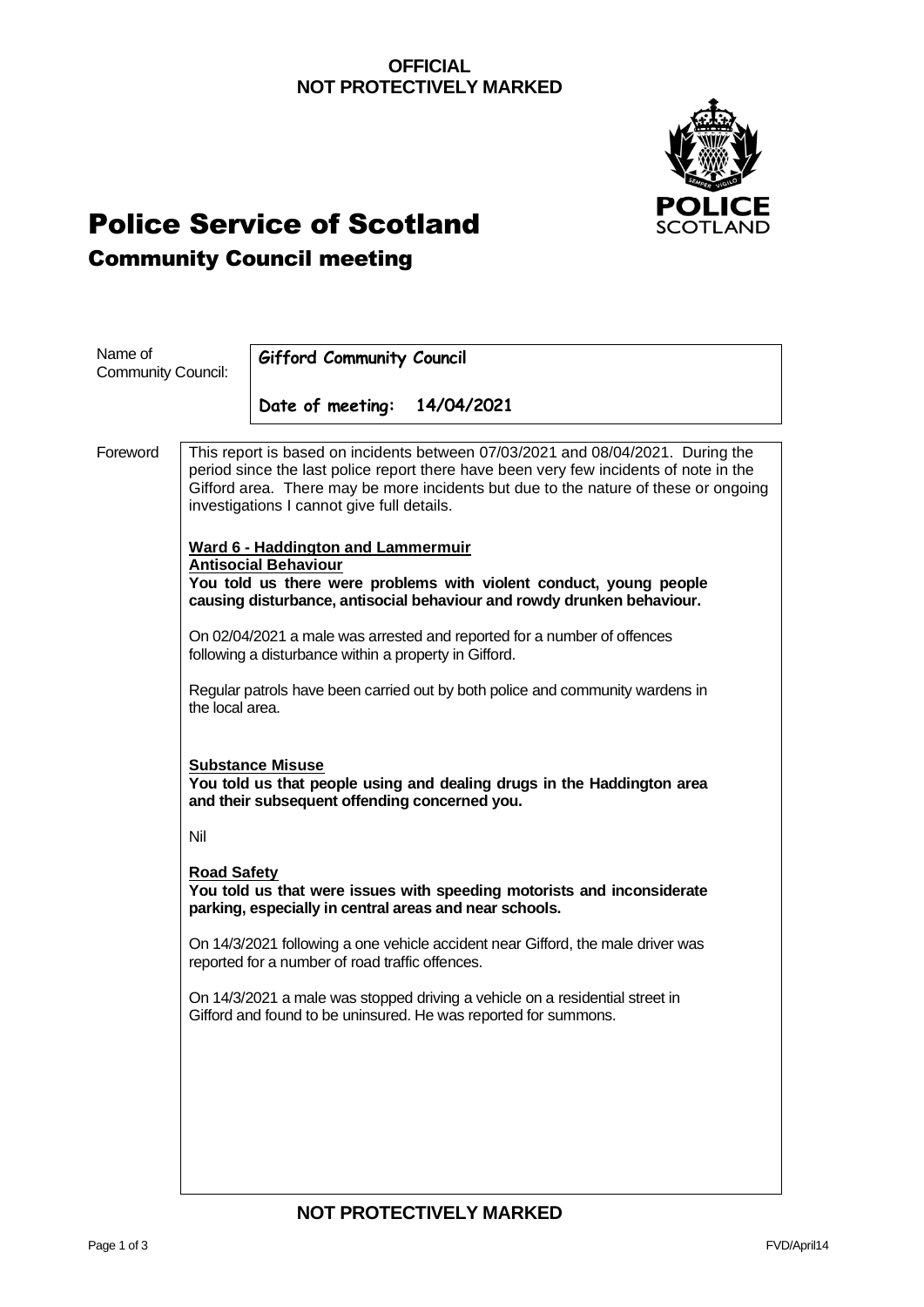### **OFFICIAL NOT PROTECTIVELY MARKED**



# Police Service of Scotland Community Council meeting

| Name of<br><b>Community Council:</b> |                                                                                                                                                                                                                                                                                                               | <b>Gifford Community Council</b>                                                                                                                                                                                         |  |
|--------------------------------------|---------------------------------------------------------------------------------------------------------------------------------------------------------------------------------------------------------------------------------------------------------------------------------------------------------------|--------------------------------------------------------------------------------------------------------------------------------------------------------------------------------------------------------------------------|--|
|                                      |                                                                                                                                                                                                                                                                                                               |                                                                                                                                                                                                                          |  |
|                                      |                                                                                                                                                                                                                                                                                                               | Date of meeting:<br>14/04/2021                                                                                                                                                                                           |  |
| Foreword                             | This report is based on incidents between 07/03/2021 and 08/04/2021. During the<br>period since the last police report there have been very few incidents of note in the<br>Gifford area. There may be more incidents but due to the nature of these or ongoing<br>investigations I cannot give full details. |                                                                                                                                                                                                                          |  |
|                                      |                                                                                                                                                                                                                                                                                                               | <b>Ward 6 - Haddington and Lammermuir</b><br><b>Antisocial Behaviour</b><br>You told us there were problems with violent conduct, young people<br>causing disturbance, antisocial behaviour and rowdy drunken behaviour. |  |
|                                      | On 02/04/2021 a male was arrested and reported for a number of offences<br>following a disturbance within a property in Gifford.                                                                                                                                                                              |                                                                                                                                                                                                                          |  |
|                                      | the local area.                                                                                                                                                                                                                                                                                               | Regular patrols have been carried out by both police and community wardens in                                                                                                                                            |  |
|                                      |                                                                                                                                                                                                                                                                                                               | <b>Substance Misuse</b><br>You told us that people using and dealing drugs in the Haddington area<br>and their subsequent offending concerned you.                                                                       |  |
|                                      | Nil                                                                                                                                                                                                                                                                                                           |                                                                                                                                                                                                                          |  |
|                                      | <b>Road Safety</b>                                                                                                                                                                                                                                                                                            | You told us that were issues with speeding motorists and inconsiderate<br>parking, especially in central areas and near schools.                                                                                         |  |
|                                      |                                                                                                                                                                                                                                                                                                               | On 14/3/2021 following a one vehicle accident near Gifford, the male driver was<br>reported for a number of road traffic offences.                                                                                       |  |
|                                      |                                                                                                                                                                                                                                                                                                               | On 14/3/2021 a male was stopped driving a vehicle on a residential street in<br>Gifford and found to be uninsured. He was reported for summons.                                                                          |  |
|                                      |                                                                                                                                                                                                                                                                                                               |                                                                                                                                                                                                                          |  |
|                                      |                                                                                                                                                                                                                                                                                                               |                                                                                                                                                                                                                          |  |
|                                      |                                                                                                                                                                                                                                                                                                               |                                                                                                                                                                                                                          |  |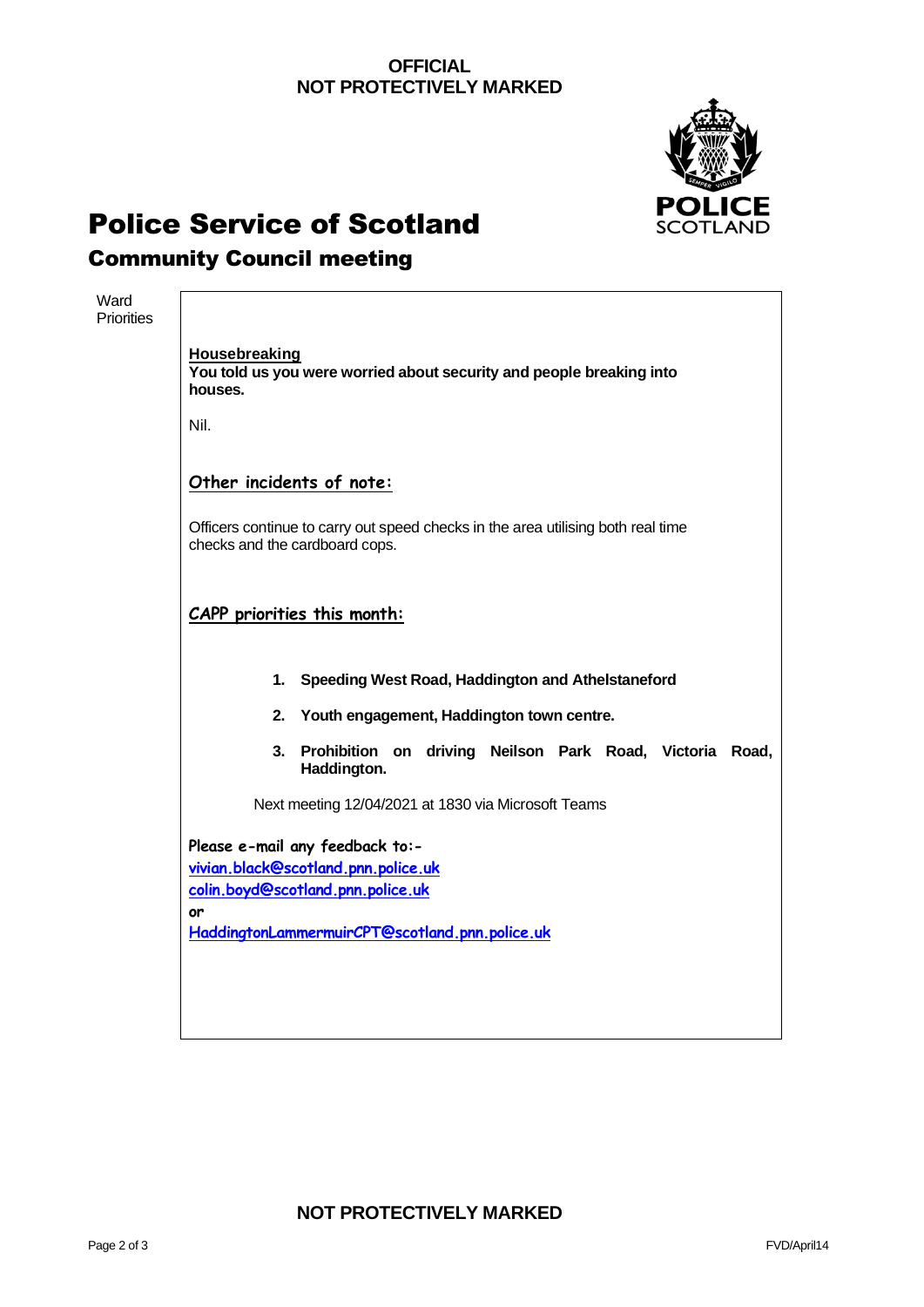### **OFFICIAL NOT PROTECTIVELY MARKED**



# Police Service of Scotland

### Community Council meeting

| Ward<br><b>Priorities</b> |                                                                                                                                                                                                                                       |  |  |  |                                                                            |  |  |  |
|---------------------------|---------------------------------------------------------------------------------------------------------------------------------------------------------------------------------------------------------------------------------------|--|--|--|----------------------------------------------------------------------------|--|--|--|
|                           | <b>Housebreaking</b><br>You told us you were worried about security and people breaking into<br>houses.                                                                                                                               |  |  |  |                                                                            |  |  |  |
|                           | Nil.                                                                                                                                                                                                                                  |  |  |  |                                                                            |  |  |  |
|                           | Other incidents of note:<br>Officers continue to carry out speed checks in the area utilising both real time<br>checks and the cardboard cops.<br>CAPP priorities this month:<br>1. Speeding West Road, Haddington and Athelstaneford |  |  |  |                                                                            |  |  |  |
|                           |                                                                                                                                                                                                                                       |  |  |  | 2.<br>Youth engagement, Haddington town centre.                            |  |  |  |
|                           |                                                                                                                                                                                                                                       |  |  |  | 3. Prohibition on driving Neilson Park Road, Victoria Road,<br>Haddington. |  |  |  |
|                           |                                                                                                                                                                                                                                       |  |  |  | Next meeting 12/04/2021 at 1830 via Microsoft Teams                        |  |  |  |
|                           | Please e-mail any feedback to:-<br>vivian.black@scotland.pnn.police.uk<br>colin.boyd@scotland.pnn.police.uk<br>or                                                                                                                     |  |  |  |                                                                            |  |  |  |
|                           | HaddingtonLammermuirCPT@scotland.pnn.police.uk                                                                                                                                                                                        |  |  |  |                                                                            |  |  |  |
|                           |                                                                                                                                                                                                                                       |  |  |  |                                                                            |  |  |  |